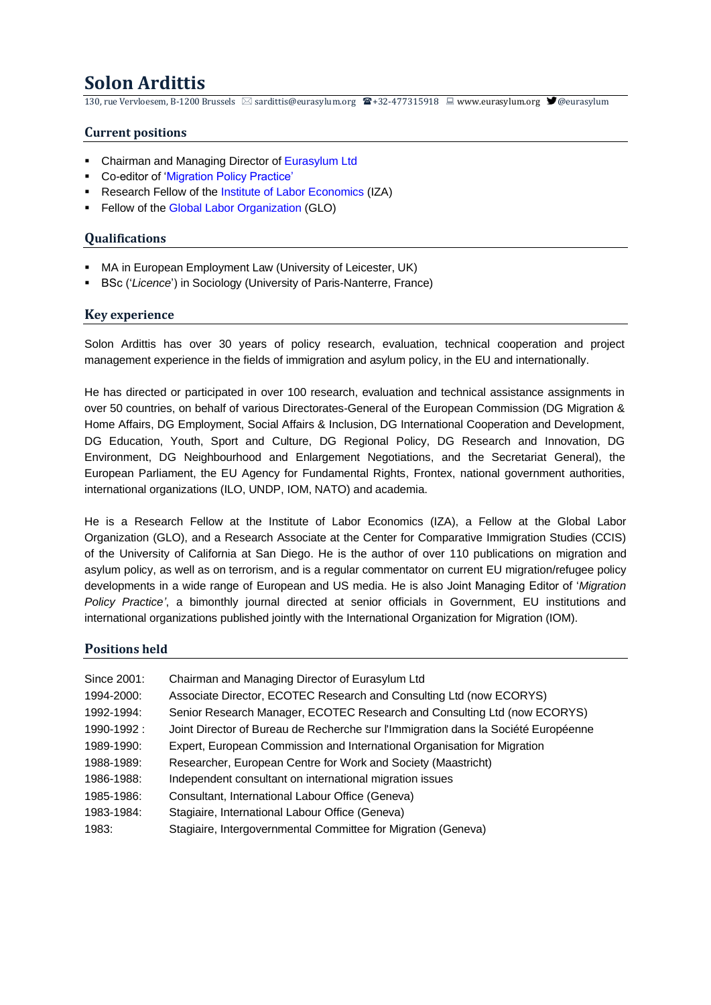# **Solon Ardittis**

130, rue Vervloesem, B-1200 Brussels  $\boxtimes$  [sardittis@eurasylum.org](mailto:sardittis@eurasylum.org)  $\bigotimes$ +32-477315918  $\sqsubseteq$  [www.eurasylum.org](http://www.eurasylum.org/)  $\bigcirc$ [@eurasylum](https://twitter.com/Eurasylum)

# **Current positions**

- Chairman and Managing Director of [Eurasylum Ltd](http://www.eurasylum.org/)
- Co-editor of ['Migration Policy Practice'](http://www.eurasylum.org/journal/)
- Research Fellow of the [Institute of Labor Economics](https://www.iza.org/) (IZA)
- **EXECTE:** Fellow of th[e Global Labor Organization](http://glabor.org/wp/) (GLO)

#### **Qualifications**

- MA in European Employment Law (University of Leicester, UK)
- BSc ('*Licence*') in Sociology (University of Paris-Nanterre, France)

#### **Key experience**

Solon Ardittis has over 30 years of policy research, evaluation, technical cooperation and project management experience in the fields of immigration and asylum policy, in the EU and internationally.

He has directed or participated in over 100 research, evaluation and technical assistance assignments in over 50 countries, on behalf of various Directorates-General of the European Commission (DG Migration & Home Affairs, DG Employment, Social Affairs & Inclusion, DG International Cooperation and Development, DG Education, Youth, Sport and Culture, DG Regional Policy, DG Research and Innovation, DG Environment, DG Neighbourhood and Enlargement Negotiations, and the Secretariat General), the European Parliament, the EU Agency for Fundamental Rights, Frontex, national government authorities, international organizations (ILO, UNDP, IOM, NATO) and academia.

He is a Research Fellow at the Institute of Labor Economics (IZA), a Fellow at the Global Labor Organization (GLO), and a Research Associate at the Center for Comparative Immigration Studies (CCIS) of the University of California at San Diego. He is the author of over 110 publications on migration and asylum policy, as well as on terrorism, and is a regular commentator on current EU migration/refugee policy developments in a wide range of European and US media. He is also Joint Managing Editor of '*[Migration](http://www.iom.int/migration-policy-practice)  [Policy Practice'](http://www.iom.int/migration-policy-practice)*, a bimonthly journal directed at senior officials in Government, EU institutions and international organizations published jointly with the International Organization for Migration (IOM).

## **Positions held**

| Since 2001: | Chairman and Managing Director of Eurasylum Ltd                                    |
|-------------|------------------------------------------------------------------------------------|
| 1994-2000:  | Associate Director, ECOTEC Research and Consulting Ltd (now ECORYS)                |
| 1992-1994:  | Senior Research Manager, ECOTEC Research and Consulting Ltd (now ECORYS)           |
| 1990-1992:  | Joint Director of Bureau de Recherche sur l'Immigration dans la Société Européenne |
| 1989-1990:  | Expert, European Commission and International Organisation for Migration           |
| 1988-1989:  | Researcher, European Centre for Work and Society (Maastricht)                      |
| 1986-1988:  | Independent consultant on international migration issues                           |
| 1985-1986:  | Consultant, International Labour Office (Geneva)                                   |
| 1983-1984:  | Stagiaire, International Labour Office (Geneva)                                    |
| 1983:       | Stagiaire, Intergovernmental Committee for Migration (Geneva)                      |
|             |                                                                                    |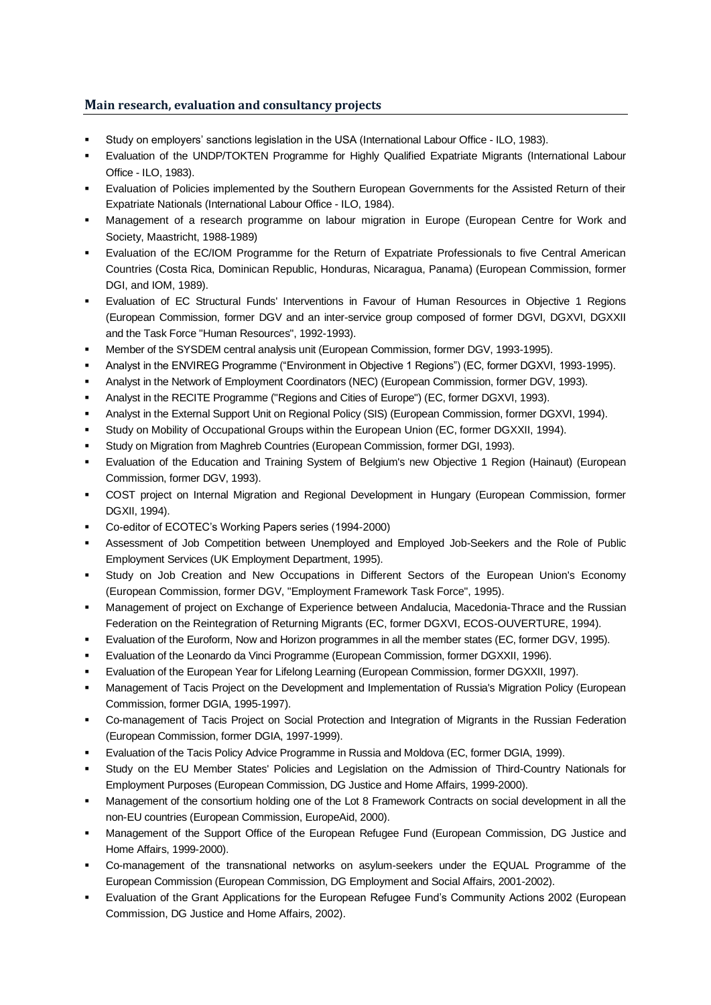# **Main research, evaluation and consultancy projects**

- Study on employers' sanctions legislation in the USA (International Labour Office ILO, 1983).
- Evaluation of the UNDP/TOKTEN Programme for Highly Qualified Expatriate Migrants (International Labour Office - ILO, 1983).
- Evaluation of Policies implemented by the Southern European Governments for the Assisted Return of their Expatriate Nationals (International Labour Office - ILO, 1984).
- Management of a research programme on labour migration in Europe (European Centre for Work and Society, Maastricht, 1988-1989)
- Evaluation of the EC/IOM Programme for the Return of Expatriate Professionals to five Central American Countries (Costa Rica, Dominican Republic, Honduras, Nicaragua, Panama) (European Commission, former DGI, and IOM, 1989).
- Evaluation of EC Structural Funds' Interventions in Favour of Human Resources in Objective 1 Regions (European Commission, former DGV and an inter-service group composed of former DGVI, DGXVI, DGXXII and the Task Force "Human Resources", 1992-1993).
- Member of the SYSDEM central analysis unit (European Commission, former DGV, 1993-1995).
- Analyst in the ENVIREG Programme ("Environment in Objective 1 Regions") (EC, former DGXVI, 1993-1995).
- Analyst in the Network of Employment Coordinators (NEC) (European Commission, former DGV, 1993).
- Analyst in the RECITE Programme ("Regions and Cities of Europe") (EC, former DGXVI, 1993).
- Analyst in the External Support Unit on Regional Policy (SIS) (European Commission, former DGXVI, 1994).
- Study on Mobility of Occupational Groups within the European Union (EC, former DGXXII, 1994).
- Study on Migration from Maghreb Countries (European Commission, former DGI, 1993).
- Evaluation of the Education and Training System of Belgium's new Objective 1 Region (Hainaut) (European Commission, former DGV, 1993).
- COST project on Internal Migration and Regional Development in Hungary (European Commission, former DGXII, 1994).
- Co-editor of ECOTEC's Working Papers series (1994-2000)
- Assessment of Job Competition between Unemployed and Employed Job-Seekers and the Role of Public Employment Services (UK Employment Department, 1995).
- Study on Job Creation and New Occupations in Different Sectors of the European Union's Economy (European Commission, former DGV, "Employment Framework Task Force", 1995).
- Management of project on Exchange of Experience between Andalucia, Macedonia-Thrace and the Russian Federation on the Reintegration of Returning Migrants (EC, former DGXVI, ECOS-OUVERTURE, 1994).
- Evaluation of the Euroform, Now and Horizon programmes in all the member states (EC, former DGV, 1995).
- Evaluation of the Leonardo da Vinci Programme (European Commission, former DGXXII, 1996).
- Evaluation of the European Year for Lifelong Learning (European Commission, former DGXXII, 1997).
- Management of Tacis Project on the Development and Implementation of Russia's Migration Policy (European Commission, former DGIA, 1995-1997).
- Co-management of Tacis Project on Social Protection and Integration of Migrants in the Russian Federation (European Commission, former DGIA, 1997-1999).
- Evaluation of the Tacis Policy Advice Programme in Russia and Moldova (EC, former DGIA, 1999).
- Study on the EU Member States' Policies and Legislation on the Admission of Third-Country Nationals for Employment Purposes (European Commission, DG Justice and Home Affairs, 1999-2000).
- Management of the consortium holding one of the Lot 8 Framework Contracts on social development in all the non-EU countries (European Commission, EuropeAid, 2000).
- Management of the Support Office of the European Refugee Fund (European Commission, DG Justice and Home Affairs, 1999-2000).
- Co-management of the transnational networks on asylum-seekers under the EQUAL Programme of the European Commission (European Commission, DG Employment and Social Affairs, 2001-2002).
- Evaluation of the Grant Applications for the European Refugee Fund's Community Actions 2002 (European Commission, DG Justice and Home Affairs, 2002).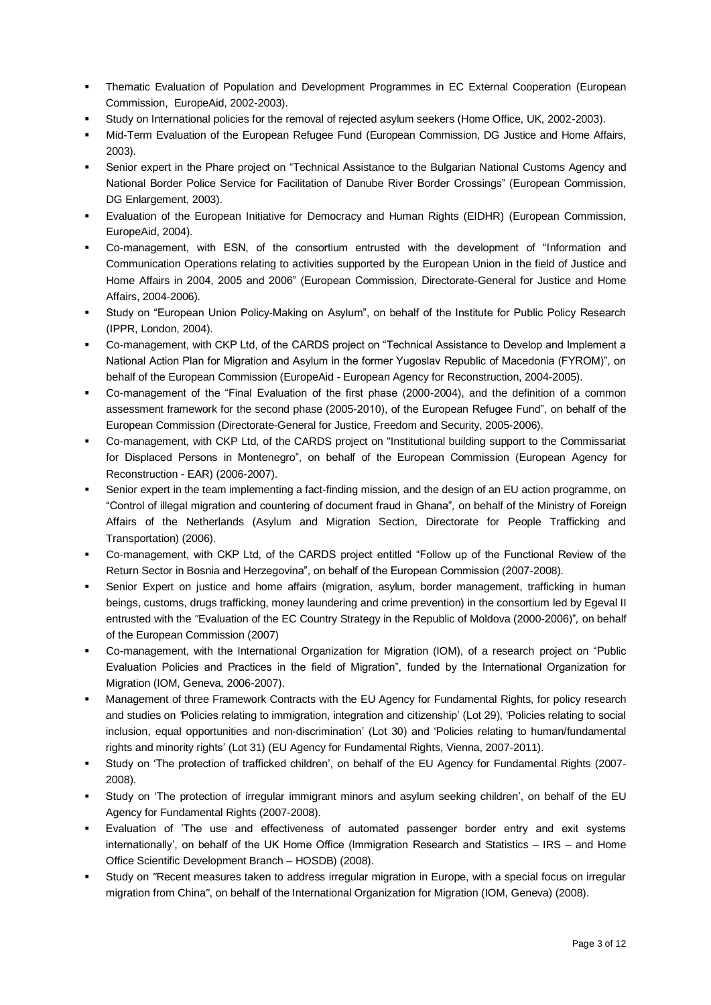- Thematic Evaluation of Population and Development Programmes in EC External Cooperation (European Commission, EuropeAid, 2002-2003).
- Study on International policies for the removal of rejected asylum seekers (Home Office, UK, 2002-2003).
- Mid-Term Evaluation of the European Refugee Fund (European Commission, DG Justice and Home Affairs, 2003).
- Senior expert in the Phare project on "Technical Assistance to the Bulgarian National Customs Agency and National Border Police Service for Facilitation of Danube River Border Crossings" (European Commission, DG Enlargement, 2003).
- Evaluation of the European Initiative for Democracy and Human Rights (EIDHR) (European Commission, EuropeAid, 2004).
- Co-management, with ESN, of the consortium entrusted with the development of "Information and Communication Operations relating to activities supported by the European Union in the field of Justice and Home Affairs in 2004, 2005 and 2006" (European Commission, Directorate-General for Justice and Home Affairs, 2004-2006).
- Study on "European Union Policy-Making on Asylum", on behalf of the Institute for Public Policy Research (IPPR, London, 2004).
- Co-management, with CKP Ltd, of the CARDS project on "Technical Assistance to Develop and Implement a National Action Plan for Migration and Asylum in the former Yugoslav Republic of Macedonia (FYROM)", on behalf of the European Commission (EuropeAid - European Agency for Reconstruction, 2004-2005).
- Co-management of the "Final Evaluation of the first phase (2000-2004), and the definition of a common assessment framework for the second phase (2005-2010), of the European Refugee Fund", on behalf of the European Commission (Directorate-General for Justice, Freedom and Security, 2005-2006).
- Co-management, with CKP Ltd, of the CARDS project on "Institutional building support to the Commissariat for Displaced Persons in Montenegro", on behalf of the European Commission (European Agency for Reconstruction - EAR) (2006-2007).
- Senior expert in the team implementing a fact-finding mission, and the design of an EU action programme, on "Control of illegal migration and countering of document fraud in Ghana"*,* on behalf of the Ministry of Foreign Affairs of the Netherlands (Asylum and Migration Section, Directorate for People Trafficking and Transportation) (2006).
- Co-management, with CKP Ltd, of the CARDS project entitled "Follow up of the Functional Review of the Return Sector in Bosnia and Herzegovina", on behalf of the European Commission (2007-2008).
- Senior Expert on justice and home affairs (migration, asylum, border management, trafficking in human beings, customs, drugs trafficking, money laundering and crime prevention) in the consortium led by Egeval II entrusted with the *"*Evaluation of the EC Country Strategy in the Republic of Moldova (2000-2006)"*,* on behalf of the European Commission (2007)
- Co-management, with the International Organization for Migration (IOM), of a research project on "Public Evaluation Policies and Practices in the field of Migration", funded by the International Organization for Migration (IOM, Geneva, 2006-2007).
- Management of three Framework Contracts with the EU Agency for Fundamental Rights, for policy research and studies on *'*Policies relating to immigration, integration and citizenship' (Lot 29), 'Policies relating to social inclusion, equal opportunities and non-discrimination' (Lot 30) and 'Policies relating to human/fundamental rights and minority rights' (Lot 31) (EU Agency for Fundamental Rights, Vienna, 2007-2011).
- Study on 'The protection of trafficked children', on behalf of the EU Agency for Fundamental Rights (2007-2008).
- Study on 'The protection of irregular immigrant minors and asylum seeking children', on behalf of the EU Agency for Fundamental Rights (2007-2008).
- Evaluation of 'The use and effectiveness of automated passenger border entry and exit systems internationally', on behalf of the UK Home Office (Immigration Research and Statistics – IRS – and Home Office Scientific Development Branch – HOSDB) (2008).
- Study on *"*Recent measures taken to address irregular migration in Europe, with a special focus on irregular migration from China*"*, on behalf of the International Organization for Migration (IOM, Geneva) (2008).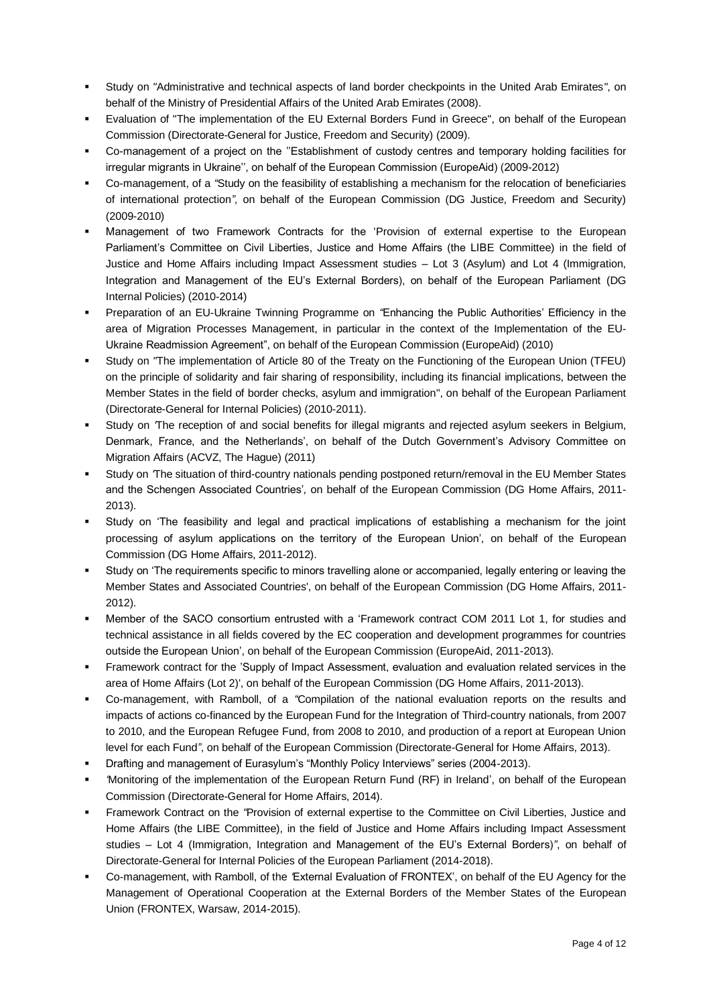- Study on *"*Administrative and technical aspects of land border checkpoints in the United Arab Emirates*"*, on behalf of the Ministry of Presidential Affairs of the United Arab Emirates (2008).
- Evaluation of "The implementation of the EU External Borders Fund in Greece", on behalf of the European Commission (Directorate-General for Justice, Freedom and Security) (2009).
- Co-management of a project on the "Establishment of custody centres and temporary holding facilities for irregular migrants in Ukraine'', on behalf of the European Commission (EuropeAid) (2009-2012)
- Co-management, of a *"*Study on the feasibility of establishing a mechanism for the relocation of beneficiaries of international protection*",* on behalf of the European Commission (DG Justice, Freedom and Security) (2009-2010)
- Management of two Framework Contracts for the 'Provision of external expertise to the European Parliament's Committee on Civil Liberties, Justice and Home Affairs (the LIBE Committee) in the field of Justice and Home Affairs including Impact Assessment studies – Lot 3 (Asylum) and Lot 4 (Immigration, Integration and Management of the EU's External Borders), on behalf of the European Parliament (DG Internal Policies) (2010-2014)
- Preparation of an EU-Ukraine Twinning Programme on *"*Enhancing the Public Authorities' Efficiency in the area of Migration Processes Management, in particular in the context of the Implementation of the EU-Ukraine Readmission Agreement", on behalf of the European Commission (EuropeAid) (2010)
- Study on *"The implementation of Article 80 of the Treaty on the Functioning of the European Union (TFEU)* on the principle of solidarity and fair sharing of responsibility, including its financial implications, between the Member States in the field of border checks, asylum and immigration", on behalf of the European Parliament (Directorate-General for Internal Policies) (2010-2011).
- Study on The reception of and social benefits for illegal migrants and rejected asylum seekers in Belgium, Denmark, France, and the Netherlands', on behalf of the Dutch Government's Advisory Committee on Migration Affairs (ACVZ, The Hague) (2011)
- Study on The situation of third-country nationals pending postponed return/removal in the EU Member States and the Schengen Associated Countries'*,* on behalf of the European Commission (DG Home Affairs, 2011- 2013).
- Study on 'The feasibility and legal and practical implications of establishing a mechanism for the joint processing of asylum applications on the territory of the European Union'*,* on behalf of the European Commission (DG Home Affairs, 2011-2012).
- Study on 'The requirements specific to minors travelling alone or accompanied, legally entering or leaving the Member States and Associated Countries', on behalf of the European Commission (DG Home Affairs, 2011- 2012).
- Member of the SACO consortium entrusted with a 'Framework contract COM 2011 Lot 1, for studies and technical assistance in all fields covered by the EC cooperation and development programmes for countries outside the European Union', on behalf of the European Commission (EuropeAid, 2011-2013).
- Framework contract for the 'Supply of Impact Assessment, evaluation and evaluation related services in the area of Home Affairs (Lot 2)', on behalf of the European Commission (DG Home Affairs, 2011-2013).
- Co-management, with Ramboll, of a *"*Compilation of the national evaluation reports on the results and impacts of actions co-financed by the European Fund for the Integration of Third-country nationals, from 2007 to 2010, and the European Refugee Fund, from 2008 to 2010, and production of a report at European Union level for each Fund*"*, on behalf of the European Commission (Directorate-General for Home Affairs, 2013).
- Drafting and management of Eurasylum's "Monthly Policy Interviews" series (2004-2013).
- *'*Monitoring of the implementation of the European Return Fund (RF) in Ireland', on behalf of the European Commission (Directorate-General for Home Affairs, 2014).
- Framework Contract on the *"*Provision of external expertise to the Committee on Civil Liberties, Justice and Home Affairs (the LIBE Committee), in the field of Justice and Home Affairs including Impact Assessment studies – Lot 4 (Immigration, Integration and Management of the EU's External Borders)*"*, on behalf of Directorate-General for Internal Policies of the European Parliament (2014-2018).
- Co-management, with Ramboll, of the *'*External Evaluation of FRONTEX', on behalf of the EU Agency for the Management of Operational Cooperation at the External Borders of the Member States of the European Union (FRONTEX, Warsaw, 2014-2015).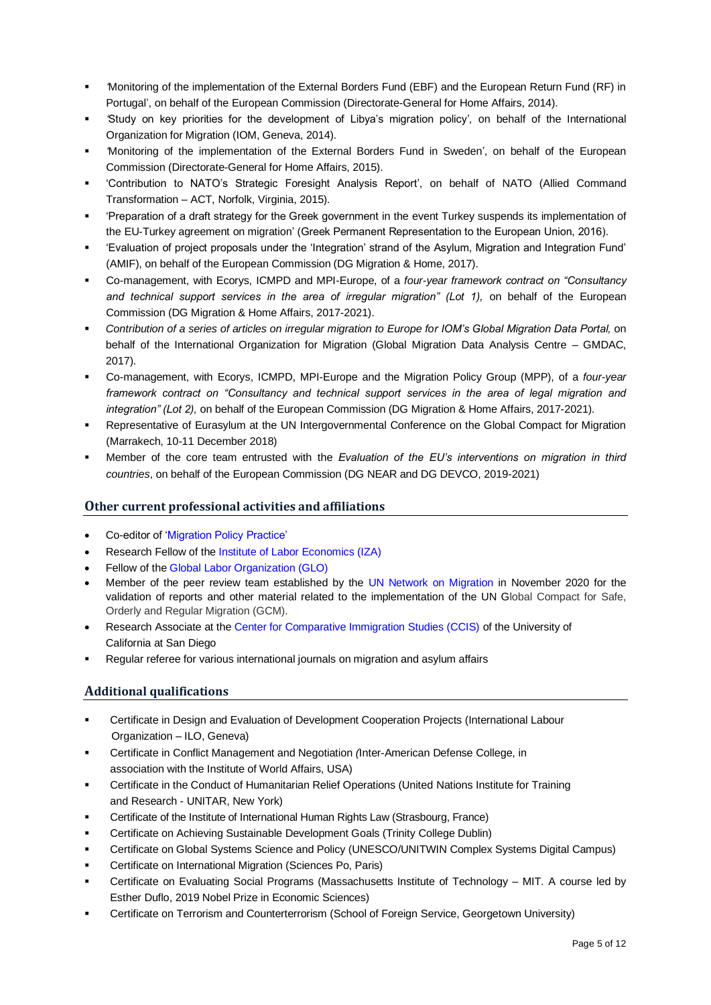- *'*Monitoring of the implementation of the External Borders Fund (EBF) and the European Return Fund (RF) in Portugal', on behalf of the European Commission (Directorate-General for Home Affairs, 2014).
- *'*Study on key priorities for the development of Libya's migration policy'*,* on behalf of the International Organization for Migration (IOM, Geneva, 2014).
- *'*Monitoring of the implementation of the External Borders Fund in Sweden', on behalf of the European Commission (Directorate-General for Home Affairs, 2015).
- 'Contribution to NATO's Strategic Foresight Analysis Report', on behalf of NATO (Allied Command Transformation – ACT, Norfolk, Virginia, 2015).
- 'Preparation of a draft strategy for the Greek government in the event Turkey suspends its implementation of the EU-Turkey agreement on migration' (Greek Permanent Representation to the European Union, 2016).
- 'Evaluation of project proposals under the 'Integration' strand of the Asylum, Migration and Integration Fund' (AMIF), on behalf of the European Commission (DG Migration & Home, 2017).
- Co-management, with Ecorys, ICMPD and MPI-Europe, of a *four-year framework contract on "Consultancy*  and technical support services in the area of irregular migration" (Lot 1), on behalf of the European Commission (DG Migration & Home Affairs, 2017-2021).
- *Contribution of a series of articles on irregular migration to Europe for IOM's Global Migration Data Portal,* on behalf of the International Organization for Migration (Global Migration Data Analysis Centre – GMDAC, 2017).
- Co-management, with Ecorys, ICMPD, MPI-Europe and the Migration Policy Group (MPP), of a *four-year framework contract on "Consultancy and technical support services in the area of legal migration and integration" (Lot 2),* on behalf of the European Commission (DG Migration & Home Affairs, 2017-2021).
- Representative of Eurasylum at the UN Intergovernmental Conference on the Global Compact for Migration (Marrakech, 10-11 December 2018)
- Member of the core team entrusted with the *Evaluation of the EU's interventions on migration in third countries*, on behalf of the European Commission (DG NEAR and DG DEVCO, 2019-2021)

# **Other current professional activities and affiliations**

- Co-editor of ['Migration Policy Practice'](http://www.eurasylum.org/journal/)
- Research Fellow of the [Institute of Labor Economics \(IZA\)](https://www.iza.org/)
- Fellow of the [Global Labor Organization \(GLO\)](http://glabor.org/wp/)
- Member of the peer review team established by the [UN Network on Migration](https://migrationnetwork.un.org/) in November 2020 for the validation of reports and other material related to the implementation of the UN Global Compact for Safe, Orderly and Regular Migration (GCM).
- Research Associate at the [Center for Comparative Immigration Studies \(CCIS\)](https://ccis.ucsd.edu/) of the University of California at San Diego
- Regular referee for various international journals on migration and asylum affairs

## **Additional qualifications**

- Certificate in Design and Evaluation of Development Cooperation Projects (International Labour Organization – ILO, Geneva)
- Certificate in Conflict Management and Negotiation *(*Inter-American Defense College, in association with the Institute of World Affairs, USA)
- Certificate in the Conduct of Humanitarian Relief Operations (United Nations Institute for Training and Research - UNITAR, New York)
- Certificate of the Institute of International Human Rights Law (Strasbourg, France)
- Certificate on Achieving Sustainable Development Goals (Trinity College Dublin)
- Certificate on Global Systems Science and Policy (UNESCO/UNITWIN Complex Systems Digital Campus)
- Certificate on International Migration (Sciences Po, Paris)
- Certificate on Evaluating Social Programs (Massachusetts Institute of Technology MIT. A course led by Esther Duflo, 2019 Nobel Prize in Economic Sciences)
- Certificate on Terrorism and Counterterrorism (School of Foreign Service, Georgetown University)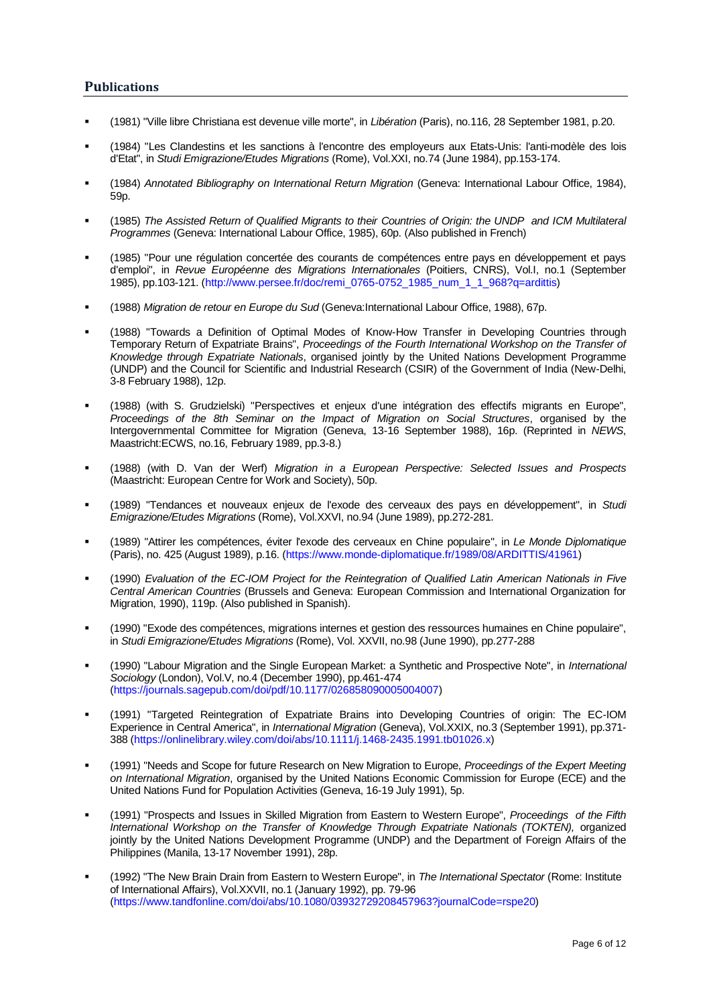#### **Publications**

- (1981) "Ville libre Christiana est devenue ville morte", in *Libération* (Paris), no.116, 28 September 1981, p.20.
- (1984) "Les Clandestins et les sanctions à l'encontre des employeurs aux Etats-Unis: l'anti-modèle des lois d'Etat", in *Studi Emigrazione/Etudes Migrations* (Rome), Vol.XXI, no.74 (June 1984), pp.153-174.
- (1984) *Annotated Bibliography on International Return Migration* (Geneva: International Labour Office, 1984), 59p.
- (1985) *The Assisted Return of Qualified Migrants to their Countries of Origin: the UNDP and ICM Multilateral Programmes* (Geneva: International Labour Office, 1985), 60p. (Also published in French)
- (1985) "Pour une régulation concertée des courants de compétences entre pays en développement et pays d'emploi", in *Revue Européenne des Migrations Internationales* (Poitiers, CNRS), Vol.I, no.1 (September 1985), pp.103-121. [\(http://www.persee.fr/doc/remi\\_0765-0752\\_1985\\_num\\_1\\_1\\_968?q=ardittis\)](http://www.persee.fr/doc/remi_0765-0752_1985_num_1_1_968?q=ardittis)
- (1988) *Migration de retour en Europe du Sud* (Geneva:International Labour Office, 1988), 67p.
- (1988) "Towards a Definition of Optimal Modes of Know-How Transfer in Developing Countries through Temporary Return of Expatriate Brains", *Proceedings of the Fourth International Workshop on the Transfer of Knowledge through Expatriate Nationals*, organised jointly by the United Nations Development Programme (UNDP) and the Council for Scientific and Industrial Research (CSIR) of the Government of India (New-Delhi, 3-8 February 1988), 12p.
- (1988) (with S. Grudzielski) "Perspectives et enjeux d'une intégration des effectifs migrants en Europe", *Proceedings of the 8th Seminar on the Impact of Migration on Social Structures*, organised by the Intergovernmental Committee for Migration (Geneva, 13-16 September 1988), 16p. (Reprinted in *NEWS*, Maastricht:ECWS, no.16, February 1989, pp.3-8.)
- (1988) (with D. Van der Werf) *Migration in a European Perspective: Selected Issues and Prospects* (Maastricht: European Centre for Work and Society), 50p.
- (1989) "Tendances et nouveaux enjeux de l'exode des cerveaux des pays en développement", in *Studi Emigrazione/Etudes Migrations* (Rome), Vol.XXVI, no.94 (June 1989), pp.272-281.
- (1989) "Attirer les compétences, éviter l'exode des cerveaux en Chine populaire", in *Le Monde Diplomatique* (Paris), no. 425 (August 1989), p.16. [\(https://www.monde-diplomatique.fr/1989/08/ARDITTIS/41961\)](https://www.monde-diplomatique.fr/1989/08/ARDITTIS/41961)
- (1990) *Evaluation of the EC-IOM Project for the Reintegration of Qualified Latin American Nationals in Five Central American Countries* (Brussels and Geneva: European Commission and International Organization for Migration, 1990), 119p. (Also published in Spanish).
- (1990) "Exode des compétences, migrations internes et gestion des ressources humaines en Chine populaire", in *Studi Emigrazione/Etudes Migrations* (Rome), Vol. XXVII, no.98 (June 1990), pp.277-288
- (1990) "Labour Migration and the Single European Market: a Synthetic and Prospective Note", in *International Sociology* (London), Vol.V, no.4 (December 1990), pp.461-474 [\(https://journals.sagepub.com/doi/pdf/10.1177/026858090005004007\)](https://journals.sagepub.com/doi/pdf/10.1177/026858090005004007)
- (1991) "Targeted Reintegration of Expatriate Brains into Developing Countries of origin: The EC-IOM Experience in Central America", in *International Migration* (Geneva), Vol.XXIX, no.3 (September 1991), pp.371- 388 [\(https://onlinelibrary.wiley.com/doi/abs/10.1111/j.1468-2435.1991.tb01026.x\)](https://onlinelibrary.wiley.com/doi/abs/10.1111/j.1468-2435.1991.tb01026.x)
- (1991) "Needs and Scope for future Research on New Migration to Europe, *Proceedings of the Expert Meeting on International Migration*, organised by the United Nations Economic Commission for Europe (ECE) and the United Nations Fund for Population Activities (Geneva, 16-19 July 1991), 5p.
- (1991) "Prospects and Issues in Skilled Migration from Eastern to Western Europe", *Proceedings of the Fifth International Workshop on the Transfer of Knowledge Through Expatriate Nationals (TOKTEN),* organized jointly by the United Nations Development Programme (UNDP) and the Department of Foreign Affairs of the Philippines (Manila, 13-17 November 1991), 28p.
- (1992) "The New Brain Drain from Eastern to Western Europe", in *The International Spectator* (Rome: Institute of International Affairs), Vol.XXVII, no.1 (January 1992), pp. 79-96 [\(https://www.tandfonline.com/doi/abs/10.1080/03932729208457963?journalCode=rspe20\)](https://www.tandfonline.com/doi/abs/10.1080/03932729208457963?journalCode=rspe20)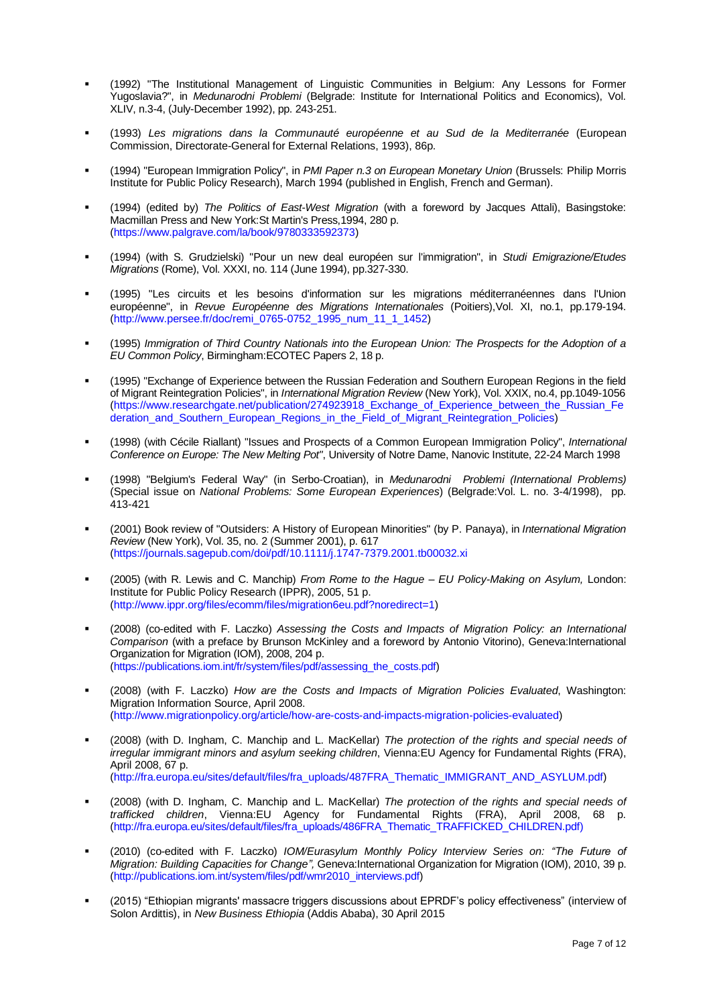- (1992) "The Institutional Management of Linguistic Communities in Belgium: Any Lessons for Former Yugoslavia?", in *Medunarodni Problemi* (Belgrade: Institute for International Politics and Economics), Vol. XLIV, n.3-4, (July-December 1992), pp. 243-251.
- (1993) *Les migrations dans la Communauté européenne et au Sud de la Mediterranée* (European Commission, Directorate-General for External Relations, 1993), 86p.
- (1994) "European Immigration Policy", in *PMI Paper n.3 on European Monetary Union* (Brussels: Philip Morris Institute for Public Policy Research), March 1994 (published in English, French and German).
- (1994) (edited by) *The Politics of East-West Migration* (with a foreword by Jacques Attali), Basingstoke: Macmillan Press and New York:St Martin's Press,1994, 280 p. [\(https://www.palgrave.com/la/book/9780333592373\)](https://www.palgrave.com/la/book/9780333592373)
- (1994) (with S. Grudzielski) "Pour un new deal européen sur l'immigration", in *Studi Emigrazione/Etudes Migrations* (Rome), Vol. XXXI, no. 114 (June 1994), pp.327-330.
- (1995) "Les circuits et les besoins d'information sur les migrations méditerranéennes dans l'Union européenne", in *Revue Européenne des Migrations Internationales* (Poitiers),Vol. XI, no.1, pp.179-194. [\(http://www.persee.fr/doc/remi\\_0765-0752\\_1995\\_num\\_11\\_1\\_1452\)](http://www.persee.fr/doc/remi_0765-0752_1995_num_11_1_1452)
- (1995) *Immigration of Third Country Nationals into the European Union: The Prospects for the Adoption of a EU Common Policy*, Birmingham:ECOTEC Papers 2, 18 p.
- (1995) "Exchange of Experience between the Russian Federation and Southern European Regions in the field of Migrant Reintegration Policies", in *International Migration Review* (New York), Vol. XXIX, no.4, pp.1049-1056 [\(https://www.researchgate.net/publication/274923918\\_Exchange\\_of\\_Experience\\_between\\_the\\_Russian\\_Fe](https://www.researchgate.net/publication/274923918_Exchange_of_Experience_between_the_Russian_Federation_and_Southern_European_Regions_in_the_Field_of_Migrant_Reintegration_Policies) [deration\\_and\\_Southern\\_European\\_Regions\\_in\\_the\\_Field\\_of\\_Migrant\\_Reintegration\\_Policies\)](https://www.researchgate.net/publication/274923918_Exchange_of_Experience_between_the_Russian_Federation_and_Southern_European_Regions_in_the_Field_of_Migrant_Reintegration_Policies)
- (1998) (with Cécile Riallant) "Issues and Prospects of a Common European Immigration Policy", *International Conference on Europe: The New Melting Pot"*, University of Notre Dame, Nanovic Institute, 22-24 March 1998
- (1998) "Belgium's Federal Way" (in Serbo-Croatian), in *Medunarodni Problemi (International Problems)* (Special issue on *National Problems: Some European Experiences*) (Belgrade:Vol. L. no. 3-4/1998), pp. 413-421
- (2001) Book review of "Outsiders: A History of European Minorities" (by P. Panaya), in *International Migration Review* (New York), Vol. 35, no. 2 (Summer 2001), p. 617 [\(https://journals.sagepub.com/doi/pdf/10.1111/j.1747-7379.2001.tb00032.xi](https://journals.sagepub.com/doi/pdf/10.1111/j.1747-7379.2001.tb00032.xi)
- (2005) (with R. Lewis and C. Manchip) *From Rome to the Hague – EU Policy-Making on Asylum,* London: Institute for Public Policy Research (IPPR), 2005, 51 p. [\(http://www.ippr.org/files/ecomm/files/migration6eu.pdf?noredirect=1\)](http://www.ippr.org/files/ecomm/files/migration6eu.pdf?noredirect=1)
- (2008) (co-edited with F. Laczko) *Assessing the Costs and Impacts of Migration Policy: an International Comparison* (with a preface by Brunson McKinley and a foreword by Antonio Vitorino), Geneva:International Organization for Migration (IOM), 2008, 204 p. [\(https://publications.iom.int/fr/system/files/pdf/assessing\\_the\\_costs.pdf\)](https://publications.iom.int/fr/system/files/pdf/assessing_the_costs.pdf)
- (2008) (with F. Laczko) *How are the Costs and Impacts of Migration Policies Evaluated*, Washington: Migration Information Source, April 2008. [\(http://www.migrationpolicy.org/article/how-are-costs-and-impacts-migration-policies-evaluated\)](http://www.migrationpolicy.org/article/how-are-costs-and-impacts-migration-policies-evaluated)
- (2008) (with D. Ingham, C. Manchip and L. MacKellar) *The protection of the rights and special needs of irregular immigrant minors and asylum seeking children*, Vienna:EU Agency for Fundamental Rights (FRA), April 2008, 67 p. [\(http://fra.europa.eu/sites/default/files/fra\\_uploads/487FRA\\_Thematic\\_IMMIGRANT\\_AND\\_ASYLUM.pdf\)](http://fra.europa.eu/sites/default/files/fra_uploads/487FRA_Thematic_IMMIGRANT_AND_ASYLUM.pdf)
- (2008) (with D. Ingham, C. Manchip and L. MacKellar) *The protection of the rights and special needs of trafficked children*, Vienna:EU Agency for Fundamental Rights (FRA), April 2008, 68 p. [\(http://fra.europa.eu/sites/default/files/fra\\_uploads/486FRA\\_Thematic\\_TRAFFICKED\\_CHILDREN.pdf\)](http://fra.europa.eu/sites/default/files/fra_uploads/486FRA_Thematic_TRAFFICKED_CHILDREN.pdf)
- (2010) (co-edited with F. Laczko) *IOM/Eurasylum Monthly Policy Interview Series on: "The Future of Migration: Building Capacities for Change",* Geneva:International Organization for Migration (IOM), 2010, 39 p. [\(http://publications.iom.int/system/files/pdf/wmr2010\\_interviews.pdf\)](http://publications.iom.int/system/files/pdf/wmr2010_interviews.pdf)
- (2015) "Ethiopian migrants' massacre triggers discussions about EPRDF's policy effectiveness" (interview of Solon Ardittis), in *New Business Ethiopia* (Addis Ababa), 30 April 2015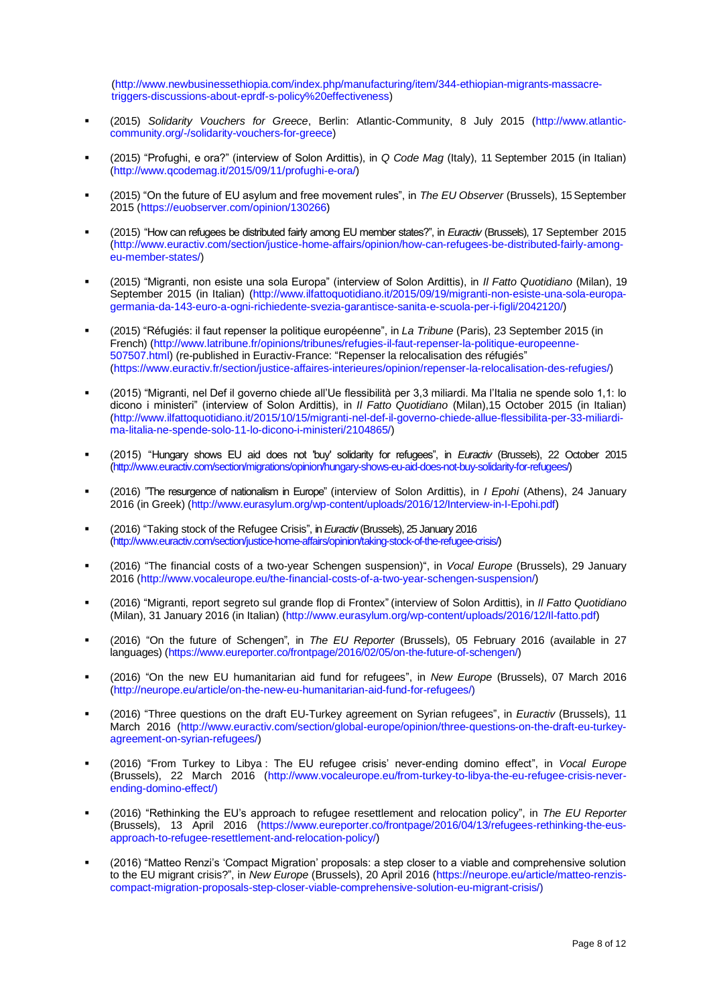[\(http://www.newbusinessethiopia.com/index.php/manufacturing/item/344-ethiopian-migrants-massacre](http://www.newbusinessethiopia.com/index.php/manufacturing/item/344-ethiopian-migrants-massacre-%20%20%20%20%20%20%20%20%20%20triggers-discussions-about-eprdf-s-policy%20effectiveness)  [triggers-discussions-about-eprdf-s-policy%20effectiveness\)](http://www.newbusinessethiopia.com/index.php/manufacturing/item/344-ethiopian-migrants-massacre-%20%20%20%20%20%20%20%20%20%20triggers-discussions-about-eprdf-s-policy%20effectiveness)

- (2015) *Solidarity Vouchers for Greece*, Berlin: Atlantic-Community, 8 July 2015 [\(http://www.atlantic](http://www.atlantic-community.org/-/solidarity-vouchers-for-greece)[community.org/-/solidarity-vouchers-for-greece\)](http://www.atlantic-community.org/-/solidarity-vouchers-for-greece)
- (2015) "Profughi, e ora?" (interview of Solon Ardittis), in *Q Code Mag* (Italy), 11 September 2015 (in Italian) [\(http://www.qcodemag.it/2015/09/11/profughi-e-ora/\)](http://www.qcodemag.it/2015/09/11/profughi-e-ora/)
- (2015) "On the future of EU asylum and free movement rules", in *The EU Observer* (Brussels), 15 September 2015 [\(https://euobserver.com/opinion/130266\)](https://euobserver.com/opinion/130266)
- (2015) "How can refugees be distributed fairly among EU member states?", in *Euractiv* (Brussels), 17 September 2015 [\(http://www.euractiv.com/section/justice-home-affairs/opinion/how-can-refugees-be-distributed-fairly-among](http://www.euractiv.com/section/justice-home-affairs/opinion/how-can-refugees-be-distributed-fairly-among-eu-member-states/)[eu-member-states/\)](http://www.euractiv.com/section/justice-home-affairs/opinion/how-can-refugees-be-distributed-fairly-among-eu-member-states/)
- (2015) "Migranti, non esiste una sola Europa" (interview of Solon Ardittis), in *Il Fatto Quotidiano* (Milan), 19 September 2015 (in Italian) [\(http://www.ilfattoquotidiano.it/2015/09/19/migranti-non-esiste-una-sola-europa](http://www.ilfattoquotidiano.it/2015/09/19/migranti-non-esiste-una-sola-europa-germania-da-143-euro-a-ogni-richiedente-svezia-garantisce-sanita-e-scuola-per-i-figli/2042120/)[germania-da-143-euro-a-ogni-richiedente-svezia-garantisce-sanita-e-scuola-per-i-figli/2042120/\)](http://www.ilfattoquotidiano.it/2015/09/19/migranti-non-esiste-una-sola-europa-germania-da-143-euro-a-ogni-richiedente-svezia-garantisce-sanita-e-scuola-per-i-figli/2042120/)
- (2015) "Réfugiés: il faut repenser la politique européenne", in *La Tribune* (Paris), 23 September 2015 (in French) [\(http://www.latribune.fr/opinions/tribunes/refugies-il-faut-repenser-la-politique-europeenne-](http://www.latribune.fr/opinions/tribunes/refugies-il-faut-repenser-la-politique-europeenne-507507.html)[507507.html\)](http://www.latribune.fr/opinions/tribunes/refugies-il-faut-repenser-la-politique-europeenne-507507.html) (re-published in Euractiv-France: "Repenser la relocalisation des réfugiés" [\(https://www.euractiv.fr/section/justice-affaires-interieures/opinion/repenser-la-relocalisation-des-refugies/\)](https://www.euractiv.fr/section/justice-affaires-interieures/opinion/repenser-la-relocalisation-des-refugies/)
- (2015) "Migranti, nel Def il governo chiede all'Ue flessibilità per 3,3 miliardi. Ma l'Italia ne spende solo 1,1: lo dicono i ministeri" (interview of Solon Ardittis), in *Il Fatto Quotidiano* (Milan),15 October 2015 (in Italian) [\(http://www.ilfattoquotidiano.it/2015/10/15/migranti-nel-def-il-governo-chiede-allue-flessibilita-per-33-miliardi](http://www.ilfattoquotidiano.it/2015/10/15/migranti-nel-def-il-governo-chiede-allue-flessibilita-per-33-miliardi-ma-litalia-ne-spende-solo-11-lo-dicono-i-ministeri/2104865/)[ma-litalia-ne-spende-solo-11-lo-dicono-i-ministeri/2104865/\)](http://www.ilfattoquotidiano.it/2015/10/15/migranti-nel-def-il-governo-chiede-allue-flessibilita-per-33-miliardi-ma-litalia-ne-spende-solo-11-lo-dicono-i-ministeri/2104865/)
- (2015) "Hungary shows EU aid does not 'buy' solidarity for refugees", in *Euractiv* (Brussels), 22 October 2015 [\(http://www.euractiv.com/section/migrations/opinion/hungary-shows-eu-aid-does-not-buy-solidarity-for-refugees/\)](http://www.euractiv.com/section/migrations/opinion/hungary-shows-eu-aid-does-not-buy-solidarity-for-refugees/)
- (2016) "The resurgence of nationalism in Europe" (interview of Solon Ardittis), in *I Epohi* (Athens), 24 January 2016 (in Greek) [\(http://www.eurasylum.org/wp-content/uploads/2016/12/Interview-in-I-Epohi.pdf\)](http://www.eurasylum.org/wp-content/uploads/2016/12/Interview-in-I-Epohi.pdf)
- (2016) "Taking stock of the Refugee Crisis", in *Euractiv* (Brussels), 25 January 2016 [\(http://www.euractiv.com/section/justice-home-affairs/opinion/taking-stock-of-the-refugee-crisis/\)](http://www.euractiv.com/section/justice-home-affairs/opinion/taking-stock-of-the-refugee-crisis/)
- (2016) "The financial costs of a two-year Schengen suspension)", in *Vocal Europe* (Brussels), 29 January 2016 [\(http://www.vocaleurope.eu/the-financial-costs-of-a-two-year-schengen-suspension/\)](http://www.vocaleurope.eu/the-financial-costs-of-a-two-year-schengen-suspension/)
- (2016) "Migranti, report segreto sul grande flop di Frontex" (interview of Solon Ardittis), in *Il Fatto Quotidiano*  (Milan), 31 January 2016 (in Italian) [\(http://www.eurasylum.org/wp-content/uploads/2016/12/Il-fatto.pdf\)](http://www.eurasylum.org/wp-content/uploads/2016/12/Il-fatto.pdf)
- (2016) "On the future of Schengen", in *The EU Reporter* (Brussels), 05 February 2016 (available in 27 languages) [\(https://www.eureporter.co/frontpage/2016/02/05/on-the-future-of-schengen/\)](https://www.eureporter.co/frontpage/2016/02/05/on-the-future-of-schengen/)
- (2016) "On the new EU humanitarian aid fund for refugees", in *New Europe* (Brussels), 07 March 2016 [\(http://neurope.eu/article/on-the-new-eu-humanitarian-aid-fund-for-refugees/\)](http://neurope.eu/article/on-the-new-eu-humanitarian-aid-fund-for-refugees/)
- (2016) "Three questions on the draft EU-Turkey agreement on Syrian refugees", in *Euractiv* (Brussels), 11 March 2016 [\(http://www.euractiv.com/section/global-europe/opinion/three-questions-on-the-draft-eu-turkey](http://www.euractiv.com/section/global-europe/opinion/three-questions-on-the-draft-eu-turkey-agreement-on-syrian-refugees/)[agreement-on-syrian-refugees/\)](http://www.euractiv.com/section/global-europe/opinion/three-questions-on-the-draft-eu-turkey-agreement-on-syrian-refugees/)
- (2016) "From Turkey to Libya : The EU refugee crisis' never-ending domino effect", in *Vocal Europe* (Brussels), 22 March 2016 [\(http://www.vocaleurope.eu/from-turkey-to-libya-the-eu-refugee-crisis-never](http://www.vocaleurope.eu/from-turkey-to-libya-the-eu-refugee-crisis-never-ending-domino-effect/)[ending-domino-effect/\)](http://www.vocaleurope.eu/from-turkey-to-libya-the-eu-refugee-crisis-never-ending-domino-effect/)
- (2016) "Rethinking the EU's approach to refugee resettlement and relocation policy", in *The EU Reporter* (Brussels), 13 April 2016 [\(https://www.eureporter.co/frontpage/2016/04/13/refugees-rethinking-the-eus](https://www.eureporter.co/frontpage/2016/04/13/refugees-rethinking-the-eus-approach-to-refugee-resettlement-and-relocation-policy/)[approach-to-refugee-resettlement-and-relocation-policy/\)](https://www.eureporter.co/frontpage/2016/04/13/refugees-rethinking-the-eus-approach-to-refugee-resettlement-and-relocation-policy/)
- (2016) "Matteo Renzi's 'Compact Migration' proposals: a step closer to a viable and comprehensive solution to the EU migrant crisis?", in *New Europe* (Brussels), 20 April 2016 [\(https://neurope.eu/article/matteo-renzis](https://neurope.eu/article/matteo-renzis-compact-migration-proposals-step-closer-viable-comprehensive-solution-eu-migrant-crisis/)[compact-migration-proposals-step-closer-viable-comprehensive-solution-eu-migrant-crisis/\)](https://neurope.eu/article/matteo-renzis-compact-migration-proposals-step-closer-viable-comprehensive-solution-eu-migrant-crisis/)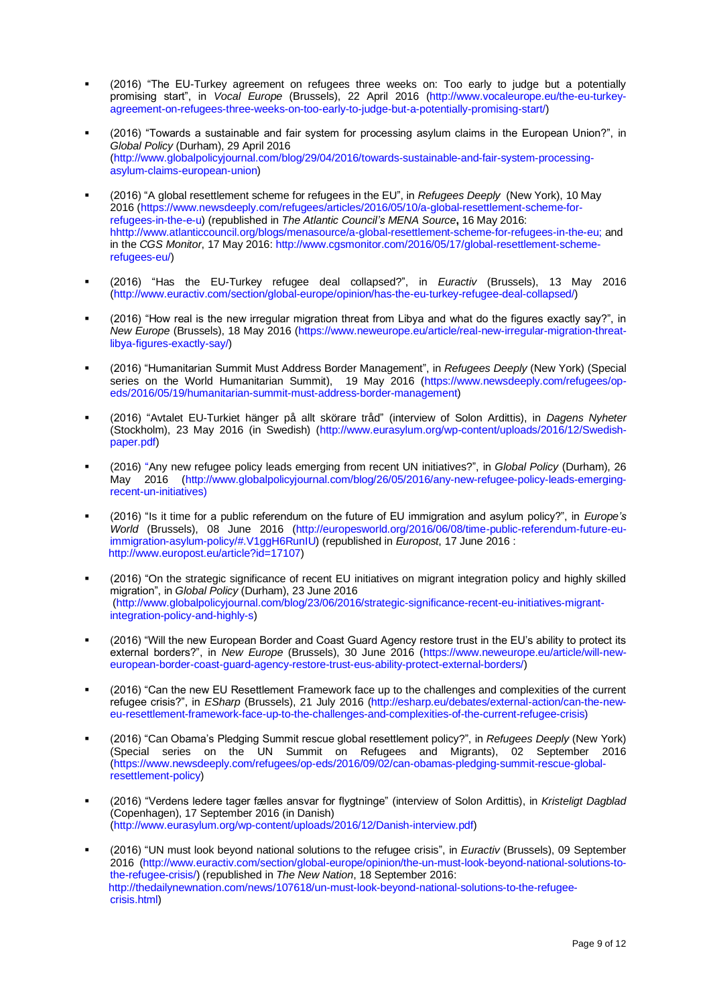- (2016) "The EU-Turkey agreement on refugees three weeks on: Too early to judge but a potentially promising start", in *Vocal Europe* (Brussels), 22 April 2016 [\(http://www.vocaleurope.eu/the-eu-turkey](http://www.vocaleurope.eu/the-eu-turkey-agreement-on-refugees-three-weeks-on-too-early-to-judge-but-a-potentially-promising-start/)[agreement-on-refugees-three-weeks-on-too-early-to-judge-but-a-potentially-promising-start/\)](http://www.vocaleurope.eu/the-eu-turkey-agreement-on-refugees-three-weeks-on-too-early-to-judge-but-a-potentially-promising-start/)
- (2016) "Towards a sustainable and fair system for processing asylum claims in the European Union?", in *Global Policy* (Durham), 29 April 2016 [\(http://www.globalpolicyjournal.com/blog/29/04/2016/towards-sustainable-and-fair-system-processing](http://www.globalpolicyjournal.com/blog/29/04/2016/towards-sustainable-and-fair-system-processing-asylum-claims-european-union)[asylum-claims-european-union\)](http://www.globalpolicyjournal.com/blog/29/04/2016/towards-sustainable-and-fair-system-processing-asylum-claims-european-union)
- (2016) "A global resettlement scheme for refugees in the EU", in *Refugees Deeply* (New York), 10 May 2016 [\(https://www.newsdeeply.com/refugees/articles/2016/05/10/a-global-resettlement-scheme-for](https://www.newsdeeply.com/refugees/articles/2016/05/10/a-global-resettlement-scheme-for-refugees-in-the-e-u)[refugees-in-the-e-u\)](https://www.newsdeeply.com/refugees/articles/2016/05/10/a-global-resettlement-scheme-for-refugees-in-the-e-u) (republished in *The Atlantic Council's MENA Source***,** 16 May 2016: [hhttp://www.atlanticcouncil.org/blogs/menasource/a-global-resettlement-scheme-for-refugees-in-the-eu;](http://www.atlanticcouncil.org/blogs/menasource/a-global-resettlement-scheme-for-refugees-in-the-eu#.VzrgIDS09oc.twitter) and in the *CGS Monitor*, 17 May 2016: [http://www.cgsmonitor.com/2016/05/17/global-resettlement-scheme](http://www.cgsmonitor.com/2016/05/17/global-resettlement-scheme-refugees-eu/)[refugees-eu/\)](http://www.cgsmonitor.com/2016/05/17/global-resettlement-scheme-refugees-eu/)
- (2016) "Has the EU-Turkey refugee deal collapsed?", in *Euractiv* (Brussels), 13 May 2016 [\(http://www.euractiv.com/section/global-europe/opinion/has-the-eu-turkey-refugee-deal-collapsed/\)](http://www.euractiv.com/section/global-europe/opinion/has-the-eu-turkey-refugee-deal-collapsed/)
- $(2016)$  "How real is the new irregular migration threat from Libya and what do the figures exactly say?", in *New Europe* (Brussels), 18 May 2016 [\(https://www.neweurope.eu/article/real-new-irregular-migration-threat](https://www.neweurope.eu/article/real-new-irregular-migration-threat-libya-figures-exactly-say/)[libya-figures-exactly-say/\)](https://www.neweurope.eu/article/real-new-irregular-migration-threat-libya-figures-exactly-say/)
- (2016) "Humanitarian Summit Must Address Border Management", in *Refugees Deeply* (New York) (Special series on the World Humanitarian Summit), 19 May 2016 [\(https://www.newsdeeply.com/refugees/op](https://www.newsdeeply.com/refugees/op-eds/2016/05/19/humanitarian-summit-must-address-border-management)[eds/2016/05/19/humanitarian-summit-must-address-border-management\)](https://www.newsdeeply.com/refugees/op-eds/2016/05/19/humanitarian-summit-must-address-border-management)
- (2016) "Avtalet EU-Turkiet hänger på allt skörare tråd" (interview of Solon Ardittis), in *Dagens Nyheter*  (Stockholm), 23 May 2016 (in Swedish) [\(http://www.eurasylum.org/wp-content/uploads/2016/12/Swedish](http://www.eurasylum.org/wp-content/uploads/2016/12/Swedish-paper.pdf)[paper.pdf\)](http://www.eurasylum.org/wp-content/uploads/2016/12/Swedish-paper.pdf)
- (2016) "Any new refugee policy leads emerging from recent UN initiatives?", in *Global Policy* (Durham), 26 May 2016 [\(http://www.globalpolicyjournal.com/blog/26/05/2016/any-new-refugee-policy-leads-emerging](http://www.globalpolicyjournal.com/blog/26/05/2016/any-new-refugee-policy-leads-emerging-recent-un-initiatives)[recent-un-initiatives\)](http://www.globalpolicyjournal.com/blog/26/05/2016/any-new-refugee-policy-leads-emerging-recent-un-initiatives)
- (2016) "Is it time for a public referendum on the future of EU immigration and asylum policy?", in *Europe's World* (Brussels), 08 June 2016 [\(http://europesworld.org/2016/06/08/time-public-referendum-future-eu](http://europesworld.org/2016/06/08/time-public-referendum-future-eu-immigration-asylum-policy/#.V1ggH6RunIU)[immigration-asylum-policy/#.V1ggH6RunIU\)](http://europesworld.org/2016/06/08/time-public-referendum-future-eu-immigration-asylum-policy/#.V1ggH6RunIU) (republished in *Europost*, 17 June 2016 : [http://www.europost.eu/article?id=17107\)](http://www.europost.eu/article?id=17107)
- (2016) "On the strategic significance of recent EU initiatives on migrant integration policy and highly skilled migration", in *Global Policy* (Durham), 23 June 2016 [\(http://www.globalpolicyjournal.com/blog/23/06/2016/strategic-significance-recent-eu-initiatives-migrant](http://www.globalpolicyjournal.com/blog/23/06/2016/strategic-significance-recent-eu-initiatives-migrant-integration-policy-and-highly-s)[integration-policy-and-highly-s\)](http://www.globalpolicyjournal.com/blog/23/06/2016/strategic-significance-recent-eu-initiatives-migrant-integration-policy-and-highly-s)
- (2016) "Will the new European Border and Coast Guard Agency restore trust in the EU's ability to protect its external borders?", in *New Europe* (Brussels), 30 June 2016 [\(https://www.neweurope.eu/article/will-new](https://www.neweurope.eu/article/will-new-european-border-coast-guard-agency-restore-trust-eus-ability-protect-external-borders/)[european-border-coast-guard-agency-restore-trust-eus-ability-protect-external-borders/\)](https://www.neweurope.eu/article/will-new-european-border-coast-guard-agency-restore-trust-eus-ability-protect-external-borders/)
- (2016) "Can the new EU Resettlement Framework face up to the challenges and complexities of the current refugee crisis?", in *ESharp* (Brussels), 21 July 2016 [\(http://esharp.eu/debates/external-action/can-the-new](http://esharp.eu/debates/external-action/can-the-new-eu-resettlement-framework-face-up-to-the-challenges-and-complexities-of-the-current-refugee-crisis)[eu-resettlement-framework-face-up-to-the-challenges-and-complexities-of-the-current-refugee-crisis\)](http://esharp.eu/debates/external-action/can-the-new-eu-resettlement-framework-face-up-to-the-challenges-and-complexities-of-the-current-refugee-crisis)
- (2016) "Can Obama's Pledging Summit rescue global resettlement policy?", in *Refugees Deeply* (New York) (Special series on the UN Summit on Refugees and Migrants), 02 September 2016 [\(https://www.newsdeeply.com/refugees/op-eds/2016/09/02/can-obamas-pledging-summit-rescue-global](https://www.newsdeeply.com/refugees/op-eds/2016/09/02/can-obamas-pledging-summit-rescue-global-resettlement-policy)[resettlement-policy\)](https://www.newsdeeply.com/refugees/op-eds/2016/09/02/can-obamas-pledging-summit-rescue-global-resettlement-policy)
- (2016) "Verdens ledere tager fælles ansvar for flygtninge" (interview of Solon Ardittis), in *Kristeligt Dagblad* (Copenhagen), 17 September 2016 (in Danish) [\(http://www.eurasylum.org/wp-content/uploads/2016/12/Danish-interview.pdf\)](http://www.eurasylum.org/wp-content/uploads/2016/12/Danish-interview.pdf)
- (2016) "UN must look beyond national solutions to the refugee crisis", in *Euractiv* (Brussels), 09 September 2016 [\(http://www.euractiv.com/section/global-europe/opinion/the-un-must-look-beyond-national-solutions-to](http://www.euractiv.com/section/global-europe/opinion/the-un-must-look-beyond-national-solutions-to-the-refugee-crisis/)[the-refugee-crisis/\)](http://www.euractiv.com/section/global-europe/opinion/the-un-must-look-beyond-national-solutions-to-the-refugee-crisis/) (republished in *The New Nation*, 18 September 2016: [http://thedailynewnation.com/news/107618/un-must-look-beyond-national-solutions-to-the-refugee](http://thedailynewnation.com/news/107618/un-must-look-beyond-national-solutions-to-the-refugee-%20crisis.html)[crisis.html\)](http://thedailynewnation.com/news/107618/un-must-look-beyond-national-solutions-to-the-refugee-%20crisis.html)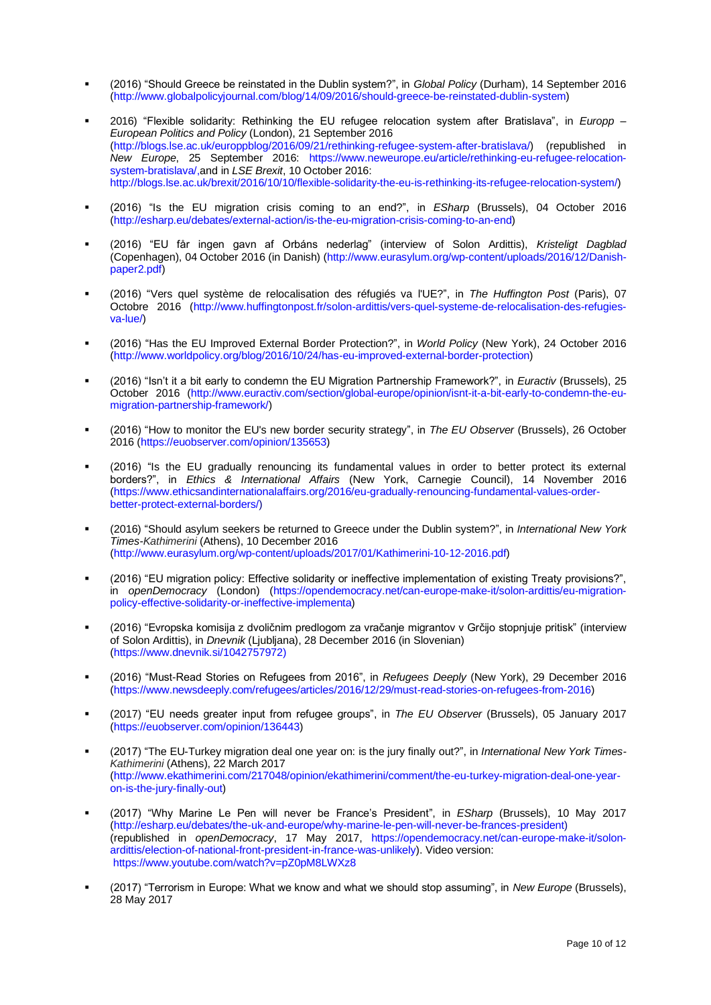- (2016) "Should Greece be reinstated in the Dublin system?", in *Global Policy* (Durham), 14 September 2016 [\(http://www.globalpolicyjournal.com/blog/14/09/2016/should-greece-be-reinstated-dublin-system\)](http://www.globalpolicyjournal.com/blog/14/09/2016/should-greece-be-reinstated-dublin-system)
- 2016) "Flexible solidarity: Rethinking the EU refugee relocation system after Bratislava", in *Europp – European Politics and Policy* (London), 21 September 2016 [\(http://blogs.lse.ac.uk/europpblog/2016/09/21/rethinking-refugee-system-after-bratislava/\)](http://blogs.lse.ac.uk/europpblog/2016/09/21/rethinking-refugee-system-after-bratislava/) (republished in *New Europe*, 25 September 2016: [https://www.neweurope.eu/article/rethinking-eu-refugee-relocation](https://www.neweurope.eu/article/rethinking-eu-refugee-relocation-system-bratislava/)[system-bratislava/,](https://www.neweurope.eu/article/rethinking-eu-refugee-relocation-system-bratislava/)and in *LSE Brexit*, 10 October 2016: [http://blogs.lse.ac.uk/brexit/2016/10/10/flexible-solidarity-the-eu-is-rethinking-its-refugee-relocation-system/\)](http://blogs.lse.ac.uk/brexit/2016/10/10/flexible-solidarity-the-eu-is-rethinking-its-refugee-relocation-system/)
- (2016) "Is the EU migration crisis coming to an end?", in *ESharp* (Brussels), 04 October 2016 [\(http://esharp.eu/debates/external-action/is-the-eu-migration-crisis-coming-to-an-end\)](http://esharp.eu/debates/external-action/is-the-eu-migration-crisis-coming-to-an-end)
- (2016) "EU får ingen gavn af Orbáns nederlag" (interview of Solon Ardittis), *Kristeligt Dagblad* (Copenhagen), 04 October 2016 (in Danish) [\(http://www.eurasylum.org/wp-content/uploads/2016/12/Danish](http://www.eurasylum.org/wp-content/uploads/2016/12/Danish-paper2.pdf)[paper2.pdf\)](http://www.eurasylum.org/wp-content/uploads/2016/12/Danish-paper2.pdf)
- (2016) "Vers quel système de relocalisation des réfugiés va l'UE?", in *The Huffington Post* (Paris), 07 Octobre 2016 [\(http://www.huffingtonpost.fr/solon-ardittis/vers-quel-systeme-de-relocalisation-des-refugies](http://www.huffingtonpost.fr/solon-ardittis/vers-quel-systeme-de-relocalisation-des-refugies-va-lue/)[va-lue/\)](http://www.huffingtonpost.fr/solon-ardittis/vers-quel-systeme-de-relocalisation-des-refugies-va-lue/)
- (2016) "Has the EU Improved External Border Protection?", in *World Policy* (New York), 24 October 2016 [\(http://www.worldpolicy.org/blog/2016/10/24/has-eu-improved-external-border-protection\)](http://www.worldpolicy.org/blog/2016/10/24/has-eu-improved-external-border-protection)
- (2016) "Isn't it a bit early to condemn the EU Migration Partnership Framework?", in *Euractiv* (Brussels), 25 October 2016 [\(http://www.euractiv.com/section/global-europe/opinion/isnt-it-a-bit-early-to-condemn-the-eu](http://www.euractiv.com/section/global-europe/opinion/isnt-it-a-bit-early-to-condemn-the-eu-migration-partnership-framework/)[migration-partnership-framework/\)](http://www.euractiv.com/section/global-europe/opinion/isnt-it-a-bit-early-to-condemn-the-eu-migration-partnership-framework/)
- (2016) "How to monitor the EU's new border security strategy", in The EU Observer (Brussels), 26 October 2016 [\(https://euobserver.com/opinion/135653\)](https://euobserver.com/opinion/135653)
- (2016) "Is the EU gradually renouncing its fundamental values in order to better protect its external borders?", in *Ethics & International Affairs* (New York, Carnegie Council), 14 November 2016 [\(https://www.ethicsandinternationalaffairs.org/2016/eu-gradually-renouncing-fundamental-values-order](https://www.ethicsandinternationalaffairs.org/2016/eu-gradually-renouncing-fundamental-values-order-better-protect-external-borders/)[better-protect-external-borders/\)](https://www.ethicsandinternationalaffairs.org/2016/eu-gradually-renouncing-fundamental-values-order-better-protect-external-borders/)
- (2016) "Should asylum seekers be returned to Greece under the Dublin system?", in *International New York Times-Kathimerini* (Athens), 10 December 2016 [\(http://www.eurasylum.org/wp-content/uploads/2017/01/Kathimerini-10-12-2016.pdf\)](http://www.eurasylum.org/wp-content/uploads/2017/01/Kathimerini-10-12-2016.pdf)
- (2016) "EU migration policy: Effective solidarity or ineffective implementation of existing Treaty provisions?", in *openDemocracy* (London) [\(https://opendemocracy.net/can-europe-make-it/solon-ardittis/eu-migration](https://opendemocracy.net/can-europe-make-it/solon-ardittis/eu-migration-policy-effective-solidarity-or-ineffective-implementa)[policy-effective-solidarity-or-ineffective-implementa\)](https://opendemocracy.net/can-europe-make-it/solon-ardittis/eu-migration-policy-effective-solidarity-or-ineffective-implementa)
- (2016) "Evropska komisija z dvoličnim predlogom za vračanje migrantov v Grčijo stopnjuje pritisk" (interview of Solon Ardittis), in *Dnevnik* (Ljubljana), 28 December 2016 (in Slovenian) [\(https://www.dnevnik.si/1042757972\)](https://www.dnevnik.si/1042757972)
- (2016) "Must-Read Stories on Refugees from 2016", in *Refugees Deeply* (New York), 29 December 2016 [\(https://www.newsdeeply.com/refugees/articles/2016/12/29/must-read-stories-on-refugees-from-2016\)](https://www.newsdeeply.com/refugees/articles/2016/12/29/must-read-stories-on-refugees-from-2016)
- (2017) "EU needs greater input from refugee groups", in *The EU Observer* (Brussels), 05 January 2017 [\(https://euobserver.com/opinion/136443\)](https://euobserver.com/opinion/136443)
- (2017) "The EU-Turkey migration deal one year on: is the jury finally out?", in *International New York Times-Kathimerini* (Athens), 22 March 2017 [\(http://www.ekathimerini.com/217048/opinion/ekathimerini/comment/the-eu-turkey-migration-deal-one-year](http://www.ekathimerini.com/217048/opinion/ekathimerini/comment/the-eu-turkey-migration-deal-one-year-on-is-the-jury-finally-out)[on-is-the-jury-finally-out\)](http://www.ekathimerini.com/217048/opinion/ekathimerini/comment/the-eu-turkey-migration-deal-one-year-on-is-the-jury-finally-out)
- (2017) "Why Marine Le Pen will never be France's President", in *ESharp* (Brussels), 10 May 2017 [\(http://esharp.eu/debates/the-uk-and-europe/why-marine-le-pen-will-never-be-frances-president\)](http://esharp.eu/debates/the-uk-and-europe/why-marine-le-pen-will-never-be-frances-president) (republished in *openDemocracy*, 17 May 2017, [https://opendemocracy.net/can-europe-make-it/solon](https://opendemocracy.net/can-europe-make-it/solon-ardittis/election-of-national-front-president-in-france-was-unlikely)[ardittis/election-of-national-front-president-in-france-was-unlikely\)](https://opendemocracy.net/can-europe-make-it/solon-ardittis/election-of-national-front-president-in-france-was-unlikely). Video version: <https://www.youtube.com/watch?v=pZ0pM8LWXz8>
- (2017) "Terrorism in Europe: What we know and what we should stop assuming", in *New Europe* (Brussels), 28 May 2017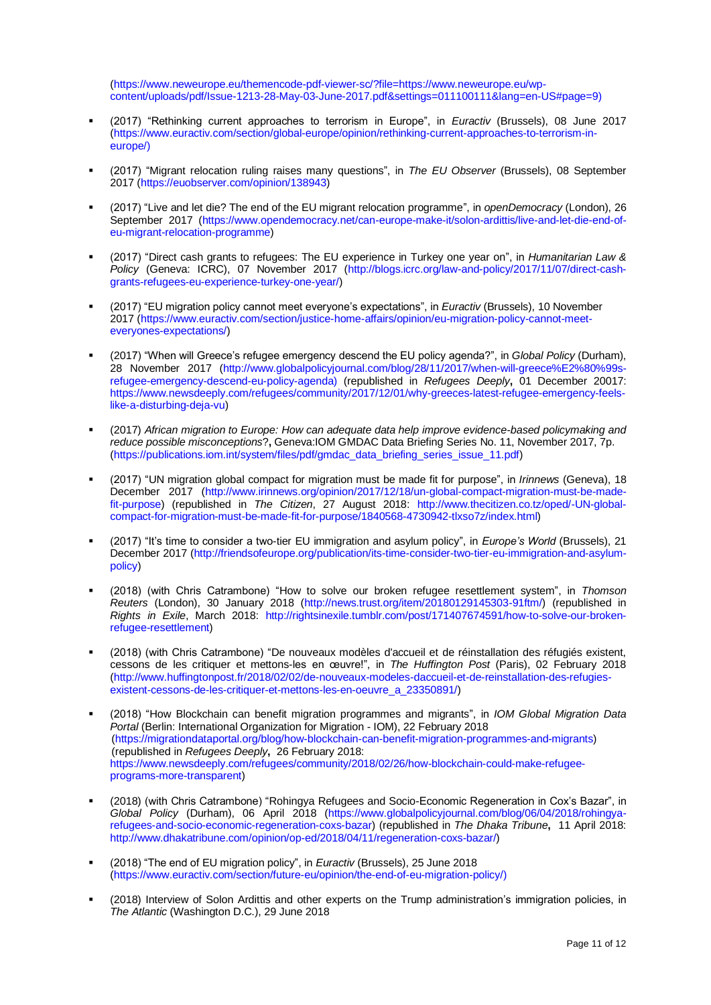[\(https://www.neweurope.eu/themencode-pdf-viewer-sc/?file=https://www.neweurope.eu/wp](https://www.neweurope.eu/themencode-pdf-viewer-sc/?file=https://www.neweurope.eu/wp-content/uploads/pdf/Issue-1213-28-May-03-June-2017.pdf&settings=011100111&lang=en-US#page=9)[content/uploads/pdf/Issue-1213-28-May-03-June-2017.pdf&settings=011100111&lang=en-US#page=9\)](https://www.neweurope.eu/themencode-pdf-viewer-sc/?file=https://www.neweurope.eu/wp-content/uploads/pdf/Issue-1213-28-May-03-June-2017.pdf&settings=011100111&lang=en-US#page=9)

- (2017) "Rethinking current approaches to terrorism in Europe", in *Euractiv* (Brussels), 08 June 2017 [\(https://www.euractiv.com/section/global-europe/opinion/rethinking-current-approaches-to-terrorism-in](https://www.euractiv.com/section/global-europe/opinion/rethinking-current-approaches-to-terrorism-in-europe/)[europe/\)](https://www.euractiv.com/section/global-europe/opinion/rethinking-current-approaches-to-terrorism-in-europe/)
- (2017) "Migrant relocation ruling raises many questions", in *The EU Observer* (Brussels), 08 September 2017 [\(https://euobserver.com/opinion/138943\)](https://euobserver.com/opinion/138943)
- (2017) "Live and let die? The end of the EU migrant relocation programme", in *openDemocracy* (London), 26 September 2017 [\(https://www.opendemocracy.net/can-europe-make-it/solon-ardittis/live-and-let-die-end-of](https://www.opendemocracy.net/can-europe-make-it/solon-ardittis/live-and-let-die-end-of-eu-migrant-relocation-programme)[eu-migrant-relocation-programme\)](https://www.opendemocracy.net/can-europe-make-it/solon-ardittis/live-and-let-die-end-of-eu-migrant-relocation-programme)
- (2017) "Direct cash grants to refugees: The EU experience in Turkey one year on", in *Humanitarian Law & Policy* (Geneva: ICRC), 07 November 2017 [\(http://blogs.icrc.org/law-and-policy/2017/11/07/direct-cash](http://blogs.icrc.org/law-and-policy/2017/11/07/direct-cash-grants-refugees-eu-experience-turkey-one-year/)[grants-refugees-eu-experience-turkey-one-year/\)](http://blogs.icrc.org/law-and-policy/2017/11/07/direct-cash-grants-refugees-eu-experience-turkey-one-year/)
- (2017) "EU migration policy cannot meet everyone's expectations", in *Euractiv* (Brussels), 10 November 2017 [\(https://www.euractiv.com/section/justice-home-affairs/opinion/eu-migration-policy-cannot-meet](https://www.euractiv.com/section/justice-home-affairs/opinion/eu-migration-policy-cannot-meet-everyones-expectations/)[everyones-expectations/\)](https://www.euractiv.com/section/justice-home-affairs/opinion/eu-migration-policy-cannot-meet-everyones-expectations/)
- (2017) "When will Greece's refugee emergency descend the EU policy agenda?", in *Global Policy* (Durham), 28 November 2017 [\(http://www.globalpolicyjournal.com/blog/28/11/2017/when-will-greece%E2%80%99s](http://www.globalpolicyjournal.com/blog/28/11/2017/when-will-greece%E2%80%99s-refugee-emergency-descend-eu-policy-agenda)[refugee-emergency-descend-eu-policy-agenda\)](http://www.globalpolicyjournal.com/blog/28/11/2017/when-will-greece%E2%80%99s-refugee-emergency-descend-eu-policy-agenda) (republished in *Refugees Deeply***,** 01 December 20017: [https://www.newsdeeply.com/refugees/community/2017/12/01/why-greeces-latest-refugee-emergency-feels](https://www.newsdeeply.com/refugees/community/2017/12/01/why-greeces-latest-refugee-emergency-feels-like-a-disturbing-deja-vu)[like-a-disturbing-deja-vu\)](https://www.newsdeeply.com/refugees/community/2017/12/01/why-greeces-latest-refugee-emergency-feels-like-a-disturbing-deja-vu)
- (2017) African migration to Europe: How can adequate data help improve evidence-based policymaking and *reduce possible misconceptions*?**,** Geneva:IOM GMDAC Data Briefing Series No. 11, November 2017, 7p. [\(https://publications.iom.int/system/files/pdf/gmdac\\_data\\_briefing\\_series\\_issue\\_11.pdf\)](https://publications.iom.int/system/files/pdf/gmdac_data_briefing_series_issue_11.pdf)
- (2017) "UN migration global compact for migration must be made fit for purpose", in *Irinnews* (Geneva), 18 December 2017 [\(http://www.irinnews.org/opinion/2017/12/18/un-global-compact-migration-must-be-made](http://www.irinnews.org/opinion/2017/12/18/un-global-compact-migration-must-be-made-fit-purpose)[fit-purpose\)](http://www.irinnews.org/opinion/2017/12/18/un-global-compact-migration-must-be-made-fit-purpose) (republished in *The Citizen*, 27 August 2018: [http://www.thecitizen.co.tz/oped/-UN-global](http://www.thecitizen.co.tz/oped/-UN-global-compact-for-migration-must-be-made-fit-for-purpose/1840568-4730942-tlxso7z/index.html)[compact-for-migration-must-be-made-fit-for-purpose/1840568-4730942-tlxso7z/index.html\)](http://www.thecitizen.co.tz/oped/-UN-global-compact-for-migration-must-be-made-fit-for-purpose/1840568-4730942-tlxso7z/index.html)
- (2017) "It's time to consider a two-tier EU immigration and asylum policy", in *Europe's World* (Brussels), 21 December 2017 [\(http://friendsofeurope.org/publication/its-time-consider-two-tier-eu-immigration-and-asylum](http://friendsofeurope.org/publication/its-time-consider-two-tier-eu-immigration-and-asylum-policy)[policy\)](http://friendsofeurope.org/publication/its-time-consider-two-tier-eu-immigration-and-asylum-policy)
- (2018) (with Chris Catrambone) "How to solve our broken refugee resettlement system", in *Thomson Reuters* (London), 30 January 2018 [\(http://news.trust.org/item/20180129145303-91ftm/\)](https://urldefense.proofpoint.com/v2/url?u=http-3A__news.trust.org_item_20180129145303-2D91ftm_&d=DwMFaQ&c=4ZIZThykDLcoWk-GVjSLmy8-1Cr1I4FWIvbLFebwKgY&r=gssXmyXcGXpH00W5EjCJob8HCjM7iO4ljCyb0mnevlo&m=O6erIN9HFLiauHv8I7PSpSD_RrK484QfHiTX78MqzE8&s=dNfQk7jbhQeQ_snJmIpm2bolhStJW-YSSz8WSz5Y3SI&e=) (republished in *Rights in Exile*, March 2018: [http://rightsinexile.tumblr.com/post/171407674591/how-to-solve-our-broken](http://rightsinexile.tumblr.com/post/171407674591/how-to-solve-our-broken-refugee-resettlement)[refugee-resettlement\)](http://rightsinexile.tumblr.com/post/171407674591/how-to-solve-our-broken-refugee-resettlement)
- (2018) (with Chris Catrambone) "De nouveaux modèles d'accueil et de réinstallation des réfugiés existent, cessons de les critiquer et mettons-les en œuvre!", in *The Huffington Post* (Paris), 02 February 2018 [\(http://www.huffingtonpost.fr/2018/02/02/de-nouveaux-modeles-daccueil-et-de-reinstallation-des-refugies](http://www.huffingtonpost.fr/2018/02/02/de-nouveaux-modeles-daccueil-et-de-reinstallation-des-refugies-existent-cessons-de-les-critiquer-et-mettons-les-en-oeuvre_a_23350891/)[existent-cessons-de-les-critiquer-et-mettons-les-en-oeuvre\\_a\\_23350891/\)](http://www.huffingtonpost.fr/2018/02/02/de-nouveaux-modeles-daccueil-et-de-reinstallation-des-refugies-existent-cessons-de-les-critiquer-et-mettons-les-en-oeuvre_a_23350891/)
- (2018) "How Blockchain can benefit migration programmes and migrants", in *IOM Global Migration Data Portal* (Berlin: International Organization for Migration - IOM), 22 February 2018 [\(https://migrationdataportal.org/blog/how-blockchain-can-benefit-migration-programmes-and-migrants\)](https://migrationdataportal.org/blog/how-blockchain-can-benefit-migration-programmes-and-migrants) (republished in *Refugees Deeply***,** 26 February 2018: [https://www.newsdeeply.com/refugees/community/2018/02/26/how-blockchain-could-make-refugee](https://www.newsdeeply.com/refugees/community/2018/02/26/how-blockchain-could-make-refugee-programs-more-transparent)[programs-more-transparent\)](https://www.newsdeeply.com/refugees/community/2018/02/26/how-blockchain-could-make-refugee-programs-more-transparent)
- (2018) (with Chris Catrambone) "Rohingya Refugees and Socio-Economic Regeneration in Cox's Bazar", in *Global Policy* (Durham), 06 April 2018 [\(https://www.globalpolicyjournal.com/blog/06/04/2018/rohingya](https://www.globalpolicyjournal.com/blog/06/04/2018/rohingya-refugees-and-socio-economic-regeneration-coxs-bazar)[refugees-and-socio-economic-regeneration-coxs-bazar\)](https://www.globalpolicyjournal.com/blog/06/04/2018/rohingya-refugees-and-socio-economic-regeneration-coxs-bazar) (republished in *The Dhaka Tribune***,** 11 April 2018: [http://www.dhakatribune.com/opinion/op-ed/2018/04/11/regeneration-coxs-bazar/\)](http://www.dhakatribune.com/opinion/op-ed/2018/04/11/regeneration-coxs-bazar/)
- (2018) "The end of EU migration policy", in *Euractiv* (Brussels), 25 June 2018 [\(https://www.euractiv.com/section/future-eu/opinion/the-end-of-eu-migration-policy/\)](https://www.euractiv.com/section/future-eu/opinion/the-end-of-eu-migration-policy/)
- (2018) Interview of Solon Ardittis and other experts on the Trump administration's immigration policies, in *The Atlantic* (Washington D.C.), 29 June 2018